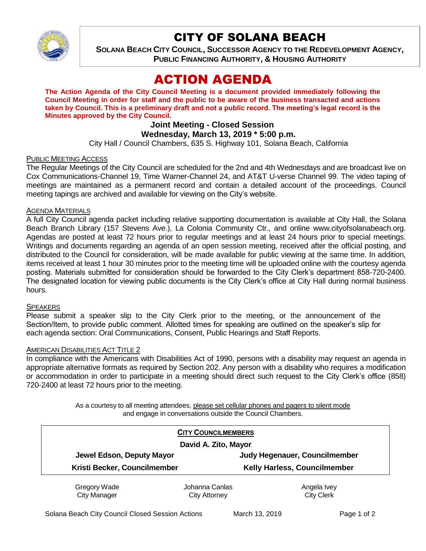

# CITY OF SOLANA BEACH

**SOLANA BEACH CITY COUNCIL, SUCCESSOR AGENCY TO THE REDEVELOPMENT AGENCY, PUBLIC FINANCING AUTHORITY, & HOUSING AUTHORITY** 

# ACTION AGENDA

**The Action Agenda of the City Council Meeting is a document provided immediately following the Council Meeting in order for staff and the public to be aware of the business transacted and actions taken by Council. This is a preliminary draft and not a public record. The meeting's legal record is the Minutes approved by the City Council.**

# **Joint Meeting - Closed Session**

### **Wednesday, March 13, 2019 \* 5:00 p.m.**

City Hall / Council Chambers, 635 S. Highway 101, Solana Beach, California

#### PUBLIC MEETING ACCESS

The Regular Meetings of the City Council are scheduled for the 2nd and 4th Wednesdays and are broadcast live on Cox Communications-Channel 19, Time Warner-Channel 24, and AT&T U-verse Channel 99. The video taping of meetings are maintained as a permanent record and contain a detailed account of the proceedings. Council meeting tapings are archived and available for viewing on the City's website.

#### AGENDA MATERIALS

A full City Council agenda packet including relative supporting documentation is available at City Hall, the Solana Beach Branch Library (157 Stevens Ave.), La Colonia Community Ctr., and online www.cityofsolanabeach.org. Agendas are posted at least 72 hours prior to regular meetings and at least 24 hours prior to special meetings. Writings and documents regarding an agenda of an open session meeting, received after the official posting, and distributed to the Council for consideration, will be made available for public viewing at the same time. In addition, items received at least 1 hour 30 minutes prior to the meeting time will be uploaded online with the courtesy agenda posting. Materials submitted for consideration should be forwarded to the City Clerk's department 858-720-2400. The designated location for viewing public documents is the City Clerk's office at City Hall during normal business hours.

#### **SPEAKERS**

Please submit a speaker slip to the City Clerk prior to the meeting, or the announcement of the Section/Item, to provide public comment. Allotted times for speaking are outlined on the speaker's slip for each agenda section: Oral Communications, Consent, Public Hearings and Staff Reports.

#### AMERICAN DISABILITIES ACT TITLE 2

In compliance with the Americans with Disabilities Act of 1990, persons with a disability may request an agenda in appropriate alternative formats as required by Section 202. Any person with a disability who requires a modification or accommodation in order to participate in a meeting should direct such request to the City Clerk's office (858) 720-2400 at least 72 hours prior to the meeting.

> As a courtesy to all meeting attendees, please set cellular phones and pagers to silent mode and engage in conversations outside the Council Chambers.

|                              | <b>CITY COUNCILMEMBERS</b> |                                     |
|------------------------------|----------------------------|-------------------------------------|
| David A. Zito, Mayor         |                            |                                     |
| Jewel Edson, Deputy Mayor    |                            | Judy Hegenauer, Councilmember       |
| Kristi Becker, Councilmember |                            | <b>Kelly Harless, Councilmember</b> |
| Gregory Wade                 | Johanna Canlas             | Angela Ivey                         |
| <b>City Manager</b>          | City Attorney              | <b>City Clerk</b>                   |